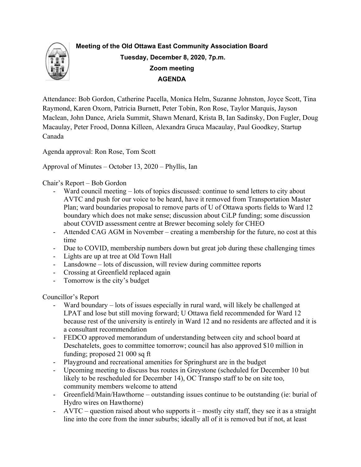

# **Meeting of the Old Ottawa East Community Association Board Tuesday, December 8, 2020, 7p.m. Zoom meeting AGENDA**

Attendance: Bob Gordon, Catherine Pacella, Monica Helm, Suzanne Johnston, Joyce Scott, Tina Raymond, Karen Oxorn, Patricia Burnett, Peter Tobin, Ron Rose, Taylor Marquis, Jayson Maclean, John Dance, Ariela Summit, Shawn Menard, Krista B, Ian Sadinsky, Don Fugler, Doug Macaulay, Peter Frood, Donna Killeen, Alexandra Gruca Macaulay, Paul Goodkey, Startup Canada

Agenda approval: Ron Rose, Tom Scott

Approval of Minutes – October 13, 2020 – Phyllis, Ian

Chair's Report – Bob Gordon

- Ward council meeting lots of topics discussed: continue to send letters to city about AVTC and push for our voice to be heard, have it removed from Transportation Master Plan; ward boundaries proposal to remove parts of U of Ottawa sports fields to Ward 12 boundary which does not make sense; discussion about CiLP funding; some discussion about COVID assessment centre at Brewer becoming solely for CHEO
- Attended CAG AGM in November creating a membership for the future, no cost at this time
- Due to COVID, membership numbers down but great job during these challenging times
- Lights are up at tree at Old Town Hall
- Lansdowne lots of discussion, will review during committee reports
- Crossing at Greenfield replaced again
- Tomorrow is the city's budget

Councillor's Report

- Ward boundary lots of issues especially in rural ward, will likely be challenged at LPAT and lose but still moving forward; U Ottawa field recommended for Ward 12 because rest of the university is entirely in Ward 12 and no residents are affected and it is a consultant recommendation
- FEDCO approved memorandum of understanding between city and school board at Deschatelets, goes to committee tomorrow; council has also approved \$10 million in funding; proposed 21 000 sq ft
- Playground and recreational amenities for Springhurst are in the budget
- Upcoming meeting to discuss bus routes in Greystone (scheduled for December 10 but likely to be rescheduled for December 14), OC Transpo staff to be on site too, community members welcome to attend
- Greenfield/Main/Hawthorne outstanding issues continue to be outstanding (ie: burial of Hydro wires on Hawthorne)
- AVTC question raised about who supports it mostly city staff, they see it as a straight line into the core from the inner suburbs; ideally all of it is removed but if not, at least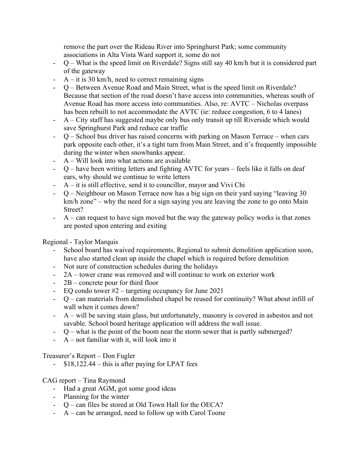remove the part over the Rideau River into Springhurst Park; some community associations in Alta Vista Ward support it, some do not

- Q What is the speed limit on Riverdale? Signs still say 40 km/h but it is considered part of the gateway
- $A it$  is 30 km/h, need to correct remaining signs
- Q Between Avenue Road and Main Street, what is the speed limit on Riverdale? Because that section of the road doesn't have access into communities, whereas south of Avenue Road has more access into communities. Also, re: AVTC – Nicholas overpass has been rebuilt to not accommodate the AVTC (ie: reduce congestion, 6 to 4 lanes)
- A City staff has suggested maybe only bus only transit up till Riverside which would save Springhurst Park and reduce car traffic
- Q School bus driver has raised concerns with parking on Mason Terrace when cars park opposite each other, it's a tight turn from Main Street, and it's frequently impossible during the winter when snowbanks appear.
- $A Will look into what actions are available$
- Q have been writing letters and fighting AVTC for years feels like it falls on deaf ears, why should we continue to write letters
- $A it$  is still effective, send it to councillor, mayor and Vivi Chi
- Q Neighbour on Mason Terrace now has a big sign on their yard saying "leaving 30 km/h zone" – why the need for a sign saying you are leaving the zone to go onto Main Street?
- $A can$  request to have sign moved but the way the gateway policy works is that zones are posted upon entering and exiting

Regional - Taylor Marquis

- School board has waived requirements, Regional to submit demolition application soon, have also started clean up inside the chapel which is required before demolition
- Not sure of construction schedules during the holidays
- 2A tower crane was removed and will continue to work on exterior work
- 2B concrete pour for third floor
- EQ condo tower #2 targeting occupancy for June 2021
- Q can materials from demolished chapel be reused for continuity? What about infill of wall when it comes down?
- A will be saving stain glass, but unfortunately, masonry is covered in asbestos and not savable. School board heritage application will address the wall issue.
- Q what is the point of the boom near the storm sewer that is partly submerged?
- $A$  not familiar with it, will look into it

Treasurer's Report – Don Fugler

 $$18,122.44 - this$  is after paying for LPAT fees

# CAG report – Tina Raymond

- Had a great AGM, got some good ideas
- Planning for the winter
- Q can files be stored at Old Town Hall for the OECA?
- A can be arranged, need to follow up with Carol Toone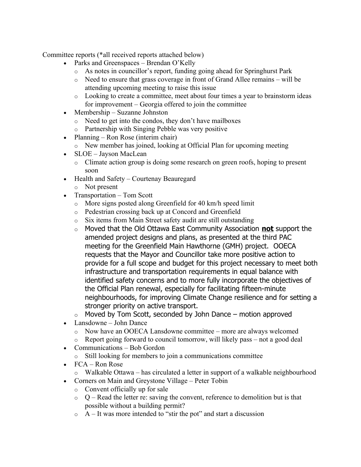Committee reports (\*all received reports attached below)

- Parks and Greenspaces Brendan O'Kelly
	- o As notes in councillor's report, funding going ahead for Springhurst Park
	- o Need to ensure that grass coverage in front of Grand Allee remains will be attending upcoming meeting to raise this issue
	- $\circ$  Looking to create a committee, meet about four times a year to brainstorm ideas for improvement – Georgia offered to join the committee
- Membership Suzanne Johnston
	- o Need to get into the condos, they don't have mailboxes
	- o Partnership with Singing Pebble was very positive
- Planning Ron Rose (interim chair)
	- o New member has joined, looking at Official Plan for upcoming meeting
- SLOE Jayson MacLean
	- o Climate action group is doing some research on green roofs, hoping to present soon
- Health and Safety Courtenay Beauregard
	- o Not present
- Transportation Tom Scott
	- o More signs posted along Greenfield for 40 km/h speed limit
	- o Pedestrian crossing back up at Concord and Greenfield
	- o Six items from Main Street safety audit are still outstanding
	- o Moved that the Old Ottawa East Community Association **not** support the amended project designs and plans, as presented at the third PAC meeting for the Greenfield Main Hawthorne (GMH) project. OOECA requests that the Mayor and Councillor take more positive action to provide for a full scope and budget for this project necessary to meet both infrastructure and transportation requirements in equal balance with identified safety concerns and to more fully incorporate the objectives of the Official Plan renewal, especially for facilitating fifteen-minute neighbourhoods, for improving Climate Change resilience and for setting a stronger priority on active transport.
	- $\circ$  Moved by Tom Scott, seconded by John Dance motion approved
- Lansdowne John Dance
	- o Now have an OOECA Lansdowne committee more are always welcomed
	- $\circ$  Report going forward to council tomorrow, will likely pass not a good deal
- Communications Bob Gordon
	- o Still looking for members to join a communications committee
- $\bullet$  FCA Ron Rose
	- o Walkable Ottawa has circulated a letter in support of a walkable neighbourhood
- Corners on Main and Greystone Village Peter Tobin
	- o Convent officially up for sale
	- $Q -$  Read the letter re: saving the convent, reference to demolition but is that possible without a building permit?
	- $\circ$  A It was more intended to "stir the pot" and start a discussion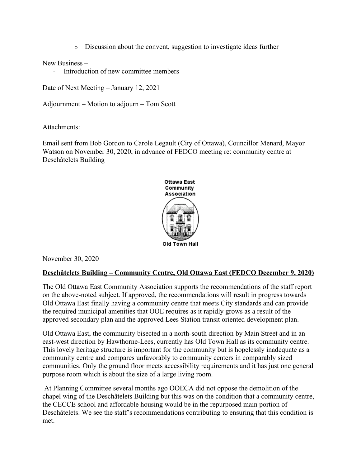o Discussion about the convent, suggestion to investigate ideas further

New Business –

- Introduction of new committee members

Date of Next Meeting – January 12, 2021

Adjournment – Motion to adjourn – Tom Scott

Attachments:

Email sent from Bob Gordon to Carole Legault (City of Ottawa), Councillor Menard, Mayor Watson on November 30, 2020, in advance of FEDCO meeting re: community centre at Deschâtelets Building



November 30, 2020

# **Deschâtelets Building – Community Centre, Old Ottawa East (FEDCO December 9, 2020)**

The Old Ottawa East Community Association supports the recommendations of the staff report on the above-noted subject. If approved, the recommendations will result in progress towards Old Ottawa East finally having a community centre that meets City standards and can provide the required municipal amenities that OOE requires as it rapidly grows as a result of the approved secondary plan and the approved Lees Station transit oriented development plan.

Old Ottawa East, the community bisected in a north-south direction by Main Street and in an east-west direction by Hawthorne-Lees, currently has Old Town Hall as its community centre. This lovely heritage structure is important for the community but is hopelessly inadequate as a community centre and compares unfavorably to community centers in comparably sized communities. Only the ground floor meets accessibility requirements and it has just one general purpose room which is about the size of a large living room.

At Planning Committee several months ago OOECA did not oppose the demolition of the chapel wing of the Deschâtelets Building but this was on the condition that a community centre, the CECCE school and affordable housing would be in the repurposed main portion of Deschâtelets. We see the staff's recommendations contributing to ensuring that this condition is met.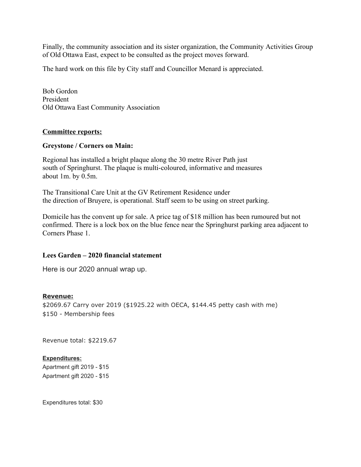Finally, the community association and its sister organization, the Community Activities Group of Old Ottawa East, expect to be consulted as the project moves forward.

The hard work on this file by City staff and Councillor Menard is appreciated.

Bob Gordon President Old Ottawa East Community Association

## **Committee reports:**

### **Greystone / Corners on Main:**

Regional has installed a bright plaque along the 30 metre River Path just south of Springhurst. The plaque is multi-coloured, informative and measures about 1m. by 0.5m.

The Transitional Care Unit at the GV Retirement Residence under the direction of Bruyere, is operational. Staff seem to be using on street parking.

Domicile has the convent up for sale. A price tag of \$18 million has been rumoured but not confirmed. There is a lock box on the blue fence near the Springhurst parking area adjacent to Corners Phase 1.

### **Lees Garden – 2020 financial statement**

Here is our 2020 annual wrap up.

#### **Revenue:**

\$2069.67 Carry over 2019 (\$1925.22 with OECA, \$144.45 petty cash with me) \$150 - Membership fees

Revenue total: \$2219.67

#### **Expenditures:**

Apartment gift 2019 - \$15 Apartment gift 2020 - \$15

Expenditures total: \$30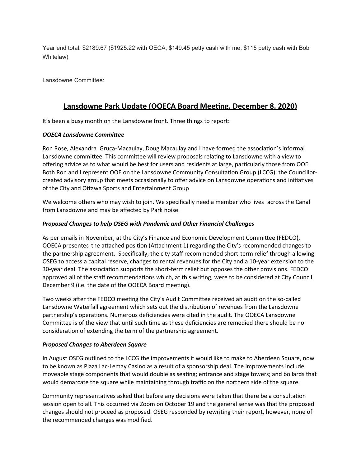Year end total: \$2189.67 (\$1925.22 with OECA, \$149.45 petty cash with me, \$115 petty cash with Bob Whitelaw)

Lansdowne Committee:

# **Lansdowne Park Update (OOECA Board Meeting, December 8, 2020)**

It's been a busy month on the Lansdowne front. Three things to report:

## *OOECA Lansdowne Committee*

Ron Rose, Alexandra Gruca-Macaulay, Doug Macaulay and I have formed the association's informal Lansdowne committee. This committee will review proposals relating to Lansdowne with a view to offering advice as to what would be best for users and residents at large, particularly those from OOE. Both Ron and I represent OOE on the Lansdowne Community Consultation Group (LCCG), the Councillorcreated advisory group that meets occasionally to offer advice on Lansdowne operations and initiatives of the City and Ottawa Sports and Entertainment Group

We welcome others who may wish to join. We specifically need a member who lives across the Canal from Lansdowne and may be affected by Park noise.

## *Proposed Changes to help OSEG with Pandemic and Other Financial Challenges*

As per emails in November, at the City's Finance and Economic Development Committee (FEDCO), OOECA presented the attached position (Attachment 1) regarding the City's recommended changes to the partnership agreement. Specifically, the city staff recommended short-term relief through allowing OSEG to access a capital reserve, changes to rental revenues for the City and a 10-year extension to the 30-year deal. The association supports the short-term relief but opposes the other provisions. FEDCO approved all of the staff recommendations which, at this writing, were to be considered at City Council December 9 (i.e. the date of the OOECA Board meeting).

Two weeks after the FEDCO meeting the City's Audit Committee received an audit on the so-called Lansdowne Waterfall agreement which sets out the distribution of revenues from the Lansdowne partnership's operations. Numerous deficiencies were cited in the audit. The OOECA Lansdowne Committee is of the view that until such time as these deficiencies are remedied there should be no consideration of extending the term of the partnership agreement.

#### *Proposed Changes to Aberdeen Square*

In August OSEG outlined to the LCCG the improvements it would like to make to Aberdeen Square, now to be known as Plaza Lac-Lemay Casino as a result of a sponsorship deal. The improvements include moveable stage components that would double as seating; entrance and stage towers; and bollards that would demarcate the square while maintaining through traffic on the northern side of the square.

Community representatives asked that before any decisions were taken that there be a consultation session open to all. This occurred via Zoom on October 19 and the general sense was that the proposed changes should not proceed as proposed. OSEG responded by rewriting their report, however, none of the recommended changes was modified.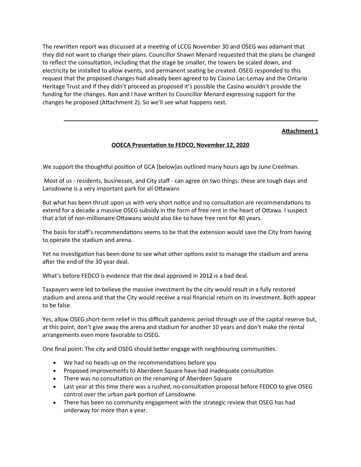The rewritten report was discussed at a meeting of LCCG November 30 and OSEG was adamant that they did not want to change their plans. Councillor Shawn Menard requested that the plans be changed to reflect the consultation, including that the stage be smaller, the towers be scaled down, and electricity be installed to allow events, and permanent seating be created. OSEG responded to this request that the proposed changes had already been agreed to by Casino Lac-Lemay and the Ontario Heritage Trust and if they didn't proceed as proposed it's possible the Casino wouldn't provide the funding for the changes. Ron and I have written to Councillor Menard expressing support for the changes he proposed (Attachment 2). So we'll see what happens next.

## **Attachment 1**

## **OOECA Presentation to FEDCO, November 12, 2020**

We support the thoughtful position of GCA [below]as outlined many hours ago by June Creelman.

Most of us - residents, businesses, and City staff - can agree on two things: these are tough days and Lansdowne is a very important park for all Ottawans

But what has been thrust upon us with very short notice and no consultation are recommendations to extend for a decade a massive OSEG subsidy in the form of free rent in the heart of Ottawa. I suspect that a lot of non-millionaire Ottawans would also like to have free rent for 40 years.

The basis for staff's recommendations seems to be that the extension would save the City from having to operate the stadium and arena.

Yet no investigation has been done to see what other options exist to manage the stadium and arena after the end of the 30 year deal.

What's before FEDCO is evidence that the deal approved in 2012 is a bad deal.

Taxpayers were led to believe the massive investment by the city would result in a fully restored stadium and arena and that the City would receive a real financial return on its investment. Both appear to be false.

Yes, allow OSEG short-term relief in this difficult pandemic period through use of the capital reserve but, at this point, don't give away the arena and stadium for another 10 years and don't make the rental arrangements even more favorable to OSEG.

One final point: The city and OSEG should better engage with neighbouring communities.

- We had no heads-up on the recommendations before you
- Proposed improvements to Aberdeen Square have had inadequate consultation
- There was no consultation on the renaming of Aberdeen Square
- Last year at this time there was a rushed, no-consultation proposal before FEDCO to give OSEG control over the urban park portion of Lansdowne.
- There has been no community engagement with the strategic review that OSEG has had underway for more than a year.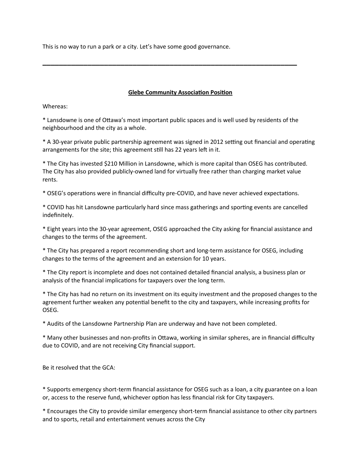This is no way to run a park or a city. Let's have some good governance.

## **Glebe Community Association Position**

Whereas:

\* Lansdowne is one of Ottawa's most important public spaces and is well used by residents of the neighbourhood and the city as a whole.

**\_\_\_\_\_\_\_\_\_\_\_\_\_\_\_\_\_\_\_\_\_\_\_\_\_\_\_\_\_\_\_\_\_\_\_\_\_\_\_\_\_\_\_\_\_\_\_\_\_\_\_\_\_\_\_\_\_\_\_\_\_\_**

\* A 30-year private public partnership agreement was signed in 2012 setting out financial and operating arrangements for the site; this agreement still has 22 years left in it.

\* The City has invested \$210 Million in Lansdowne, which is more capital than OSEG has contributed. The City has also provided publicly-owned land for virtually free rather than charging market value rents.

\* OSEG's operations were in financial difficulty pre-COVID, and have never achieved expectations.

\* COVID has hit Lansdowne particularly hard since mass gatherings and sporting events are cancelled indefinitely.

\* Eight years into the 30-year agreement, OSEG approached the City asking for financial assistance and changes to the terms of the agreement.

\* The City has prepared a report recommending short and long-term assistance for OSEG, including changes to the terms of the agreement and an extension for 10 years.

\* The City report is incomplete and does not contained detailed financial analysis, a business plan or analysis of the financial implications for taxpayers over the long term.

\* The City has had no return on its investment on its equity investment and the proposed changes to the agreement further weaken any potential benefit to the city and taxpayers, while increasing profits for OSEG.

\* Audits of the Lansdowne Partnership Plan are underway and have not been completed.

\* Many other businesses and non-profits in Ottawa, working in similar spheres, are in financial difficulty due to COVID, and are not receiving City financial support.

Be it resolved that the GCA:

\* Supports emergency short-term financial assistance for OSEG such as a loan, a city guarantee on a loan or, access to the reserve fund, whichever option has less financial risk for City taxpayers.

\* Encourages the City to provide similar emergency short-term financial assistance to other city partners and to sports, retail and entertainment venues across the City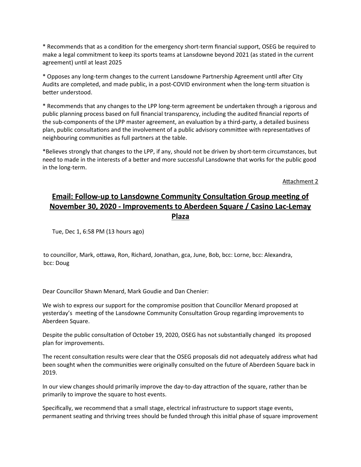\* Recommends that as a condition for the emergency short-term financial support, OSEG be required to make a legal commitment to keep its sports teams at Lansdowne beyond 2021 (as stated in the current agreement) until at least 2025

\* Opposes any long-term changes to the current Lansdowne Partnership Agreement until after City Audits are completed, and made public, in a post-COVID environment when the long-term situation is better understood.

\* Recommends that any changes to the LPP long-term agreement be undertaken through a rigorous and public planning process based on full financial transparency, including the audited financial reports of the sub-components of the LPP master agreement, an evaluation by a third-party, a detailed business plan, public consultations and the involvement of a public advisory committee with representatives of neighbouring communities as full partners at the table.

\*Believes strongly that changes to the LPP, if any, should not be driven by short-term circumstances, but need to made in the interests of a better and more successful Lansdowne that works for the public good in the long-term.

Attachment 2

# **Email: Follow-up to Lansdowne Community Consultation Group meeting of November 30, 2020 - Improvements to Aberdeen Square / Casino Lac-Lemay Plaza**

Tue, Dec 1, 6:58 PM (13 hours ago)

to councillor, Mark, ottawa, Ron, Richard, Jonathan, gca, June, Bob, bcc: Lorne, bcc: Alexandra, bcc: Doug

Dear Councillor Shawn Menard, Mark Goudie and Dan Chenier:

We wish to express our support for the compromise position that Councillor Menard proposed at yesterday's meeting of the Lansdowne Community Consultation Group regarding improvements to Aberdeen Square.

Despite the public consultation of October 19, 2020, OSEG has not substantially changed its proposed plan for improvements.

The recent consultation results were clear that the OSEG proposals did not adequately address what had been sought when the communities were originally consulted on the future of Aberdeen Square back in 2019.

In our view changes should primarily improve the day-to-day attraction of the square, rather than be primarily to improve the square to host events.

Specifically, we recommend that a small stage, electrical infrastructure to support stage events, permanent seating and thriving trees should be funded through this initial phase of square improvement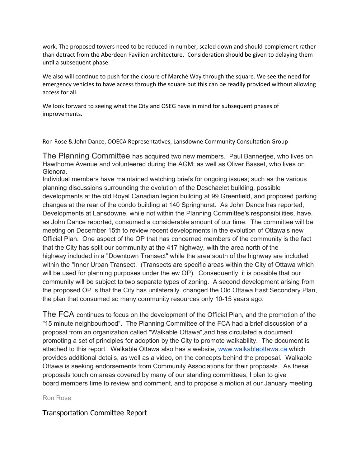work. The proposed towers need to be reduced in number, scaled down and should complement rather than detract from the Aberdeen Pavilion architecture. Consideration should be given to delaying them until a subsequent phase.

We also will continue to push for the closure of Marché Way through the square. We see the need for emergency vehicles to have access through the square but this can be readily provided without allowing access for all.

We look forward to seeing what the City and OSEG have in mind for subsequent phases of improvements.

Ron Rose & John Dance, OOECA Representatives, Lansdowne Community Consultation Group

The Planning Committee has acquired two new members. Paul Bannerjee, who lives on Hawthorne Avenue and volunteered during the AGM; as well as Oliver Basset, who lives on Glenora.

Individual members have maintained watching briefs for ongoing issues; such as the various planning discussions surrounding the evolution of the Deschaelet building, possible developments at the old Royal Canadian legion building at 99 Greenfield, and proposed parking changes at the rear of the condo building at 140 Springhurst. As John Dance has reported, Developments at Lansdowne, while not within the Planning Committee's responsibilities, have, as John Dance reported, consumed a considerable amount of our time. The committee will be meeting on December 15th to review recent developments in the evolution of Ottawa's new Official Plan. One aspect of the OP that has concerned members of the community is the fact that the City has split our community at the 417 highway, with the area north of the highway included in a "Downtown Transect" while the area south of the highway are included within the "Inner Urban Transect. (Transects are specific areas within the City of Ottawa which will be used for planning purposes under the ew OP). Consequently, it is possible that our community will be subject to two separate types of zoning. A second development arising from the proposed OP is that the City has unilaterally changed the Old Ottawa East Secondary Plan, the plan that consumed so many community resources only 10-15 years ago.

The FCA continues to focus on the development of the Official Plan, and the promotion of the "15 minute neighbourhood". The Planning Committee of the FCA had a brief discussion of a proposal from an organization called "Walkable Ottawa",and has circulated a document promoting a set of principles for adoption by the City to promote walkability. The document is attached to this report. Walkable Ottawa also has a website, [www.walkableottawa.ca](http://www.walkableottawa.ca/) which provides additional details, as well as a video, on the concepts behind the proposal. Walkable Ottawa is seeking endorsements from Community Associations for their proposals. As these proposals touch on areas covered by many of our standing committees, I plan to give board members time to review and comment, and to propose a motion at our January meeting.

Ron Rose

Transportation Committee Report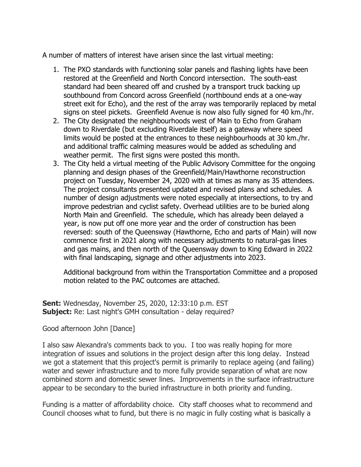A number of matters of interest have arisen since the last virtual meeting:

- 1. The PXO standards with functioning solar panels and flashing lights have been restored at the Greenfield and North Concord intersection. The south-east standard had been sheared off and crushed by a transport truck backing up southbound from Concord across Greenfield (northbound ends at a one-way street exit for Echo), and the rest of the array was temporarily replaced by metal signs on steel pickets. Greenfield Avenue is now also fully signed for 40 km./hr.
- 2. The City designated the neighbourhoods west of Main to Echo from Graham down to Riverdale (but excluding Riverdale itself) as a gateway where speed limits would be posted at the entrances to these neighbourhoods at 30 km./hr. and additional traffic calming measures would be added as scheduling and weather permit. The first signs were posted this month.
- 3. The City held a virtual meeting of the Public Advisory Committee for the ongoing planning and design phases of the Greenfield/Main/Hawthorne reconstruction project on Tuesday, November 24, 2020 with at times as many as 35 attendees. The project consultants presented updated and revised plans and schedules. A number of design adjustments were noted especially at intersections, to try and improve pedestrian and cyclist safety. Overhead utilities are to be buried along North Main and Greenfield. The schedule, which has already been delayed a year, is now put off one more year and the order of construction has been reversed: south of the Queensway (Hawthorne, Echo and parts of Main) will now commence first in 2021 along with necessary adjustments to natural-gas lines and gas mains, and then north of the Queensway down to King Edward in 2022 with final landscaping, signage and other adjustments into 2023.

Additional background from within the Transportation Committee and a proposed motion related to the PAC outcomes are attached.

**Sent:** Wednesday, November 25, 2020, 12:33:10 p.m. EST **Subject:** Re: Last night's GMH consultation - delay required?

# Good afternoon John [Dance]

I also saw Alexandra's comments back to you. I too was really hoping for more integration of issues and solutions in the project design after this long delay. Instead we got a statement that this project's permit is primarily to replace ageing (and failing) water and sewer infrastructure and to more fully provide separation of what are now combined storm and domestic sewer lines. Improvements in the surface infrastructure appear to be secondary to the buried infrastructure in both priority and funding.

Funding is a matter of affordability choice. City staff chooses what to recommend and Council chooses what to fund, but there is no magic in fully costing what is basically a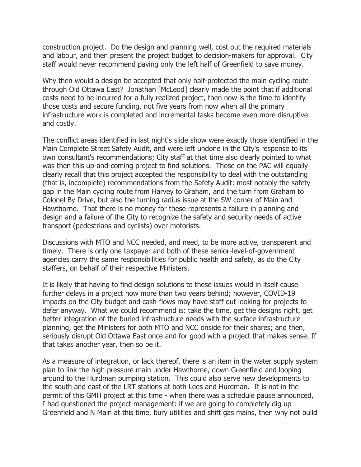construction project. Do the design and planning well, cost out the required materials and labour, and then present the project budget to decision-makers for approval. City staff would never recommend paving only the left half of Greenfield to save money.

Why then would a design be accepted that only half-protected the main cycling route through Old Ottawa East? Jonathan [McLeod] clearly made the point that if additional costs need to be incurred for a fully realized project, then now is the time to identify those costs and secure funding, not five years from now when all the primary infrastructure work is completed and incremental tasks become even more disruptive and costly.

The conflict areas identified in last night's slide show were exactly those identified in the Main Complete Street Safety Audit, and were left undone in the City's response to its own consultant's recommendations; City staff at that time also clearly pointed to what was then this up-and-coming project to find solutions. Those on the PAC will equally clearly recall that this project accepted the responsibility to deal with the outstanding (that is, incomplete) recommendations from the Safety Audit: most notably the safety gap in the Main cycling route from Harvey to Graham, and the turn from Graham to Colonel By Drive, but also the turning radius issue at the SW corner of Main and Hawthorne. That there is no money for these represents a failure in planning and design and a failure of the City to recognize the safety and security needs of active transport (pedestrians and cyclists) over motorists.

Discussions with MTO and NCC needed, and need, to be more active, transparent and timely. There is only one taxpayer and both of these senior-level-of-government agencies carry the same responsibilities for public health and safety, as do the City staffers, on behalf of their respective Ministers.

It is likely that having to find design solutions to these issues would in itself cause further delays in a project now more than two years behind; however, COVID-19 impacts on the City budget and cash-flows may have staff out looking for projects to defer anyway. What we could recommend is: take the time, get the designs right, get better integration of the buried infrastructure needs with the surface infrastructure planning, get the Ministers for both MTO and NCC onside for their shares; and then, seriously disrupt Old Ottawa East once and for good with a project that makes sense. If that takes another year, then so be it.

As a measure of integration, or lack thereof, there is an item in the water supply system plan to link the high pressure main under Hawthorne, down Greenfield and looping around to the Hurdman pumping station. This could also serve new developments to the south and east of the LRT stations at both Lees and Hurdman. It is not in the permit of this GMH project at this time - when there was a schedule pause announced, I had questioned the project management: if we are going to completely dig up Greenfield and N Main at this time, bury utilities and shift gas mains, then why not build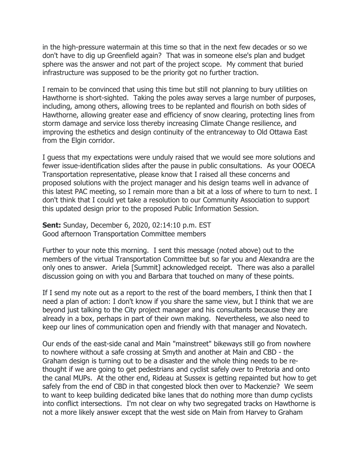in the high-pressure watermain at this time so that in the next few decades or so we don't have to dig up Greenfield again? That was in someone else's plan and budget sphere was the answer and not part of the project scope. My comment that buried infrastructure was supposed to be the priority got no further traction.

I remain to be convinced that using this time but still not planning to bury utilities on Hawthorne is short-sighted. Taking the poles away serves a large number of purposes, including, among others, allowing trees to be replanted and flourish on both sides of Hawthorne, allowing greater ease and efficiency of snow clearing, protecting lines from storm damage and service loss thereby increasing Climate Change resilience, and improving the esthetics and design continuity of the entranceway to Old Ottawa East from the Elgin corridor.

I guess that my expectations were unduly raised that we would see more solutions and fewer issue-identification slides after the pause in public consultations. As your OOECA Transportation representative, please know that I raised all these concerns and proposed solutions with the project manager and his design teams well in advance of this latest PAC meeting, so I remain more than a bit at a loss of where to turn to next. I don't think that I could yet take a resolution to our Community Association to support this updated design prior to the proposed Public Information Session.

**Sent:** Sunday, December 6, 2020, 02:14:10 p.m. EST Good afternoon Transportation Committee members

Further to your note this morning. I sent this message (noted above) out to the members of the virtual Transportation Committee but so far you and Alexandra are the only ones to answer. Ariela [Summit] acknowledged receipt. There was also a parallel discussion going on with you and Barbara that touched on many of these points.

If I send my note out as a report to the rest of the board members, I think then that I need a plan of action: I don't know if you share the same view, but I think that we are beyond just talking to the City project manager and his consultants because they are already in a box, perhaps in part of their own making. Nevertheless, we also need to keep our lines of communication open and friendly with that manager and Novatech.

Our ends of the east-side canal and Main "mainstreet" bikeways still go from nowhere to nowhere without a safe crossing at Smyth and another at Main and CBD - the Graham design is turning out to be a disaster and the whole thing needs to be rethought if we are going to get pedestrians and cyclist safely over to Pretoria and onto the canal MUPs. At the other end, Rideau at Sussex is getting repainted but how to get safely from the end of CBD in that congested block then over to Mackenzie? We seem to want to keep building dedicated bike lanes that do nothing more than dump cyclists into conflict intersections. I'm not clear on why two segregated tracks on Hawthorne is not a more likely answer except that the west side on Main from Harvey to Graham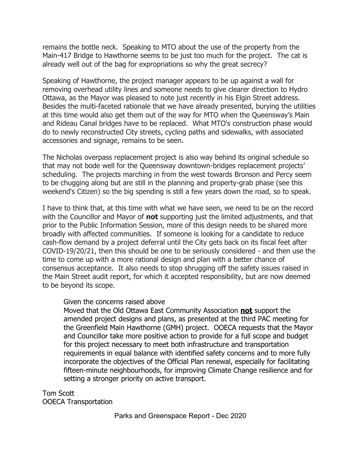remains the bottle neck. Speaking to MTO about the use of the property from the Main-417 Bridge to Hawthorne seems to be just too much for the project. The cat is already well out of the bag for expropriations so why the great secrecy?

Speaking of Hawthorne, the project manager appears to be up against a wall for removing overhead utility lines and someone needs to give clearer direction to Hydro Ottawa, as the Mayor was pleased to note just recently in his Elgin Street address. Besides the multi-faceted rationale that we have already presented, burying the utilities at this time would also get them out of the way for MTO when the Queensway's Main and Rideau Canal bridges have to be replaced. What MTO's construction phase would do to newly reconstructed City streets, cycling paths and sidewalks, with associated accessories and signage, remains to be seen.

The Nicholas overpass replacement project is also way behind its original schedule so that may not bode well for the Queensway downtown-bridges replacement projects' scheduling. The projects marching in from the west towards Bronson and Percy seem to be chugging along but are still in the planning and property-grab phase (see this weekend's Citizen) so the big spending is still a few years down the road, so to speak.

I have to think that, at this time with what we have seen, we need to be on the record with the Councillor and Mayor of **not** supporting just the limited adjustments, and that prior to the Public Information Session, more of this design needs to be shared more broadly with affected communities. If someone is looking for a candidate to reduce cash-flow demand by a project deferral until the City gets back on its fiscal feet after COVID-19/20/21, then this should be one to be seriously considered - and then use the time to come up with a more rational design and plan with a better chance of consensus acceptance. It also needs to stop shrugging off the safety issues raised in the Main Street audit report, for which it accepted responsibility, but are now deemed to be beyond its scope.

# Given the concerns raised above

Moved that the Old Ottawa East Community Association **not** support the amended project designs and plans, as presented at the third PAC meeting for the Greenfield Main Hawthorne (GMH) project. OOECA requests that the Mayor and Councillor take more positive action to provide for a full scope and budget for this project necessary to meet both infrastructure and transportation requirements in equal balance with identified safety concerns and to more fully incorporate the objectives of the Official Plan renewal, especially for facilitating fifteen-minute neighbourhoods, for improving Climate Change resilience and for setting a stronger priority on active transport.

Tom Scott OOECA Transportation

Parks and Greenspace Report - Dec 2020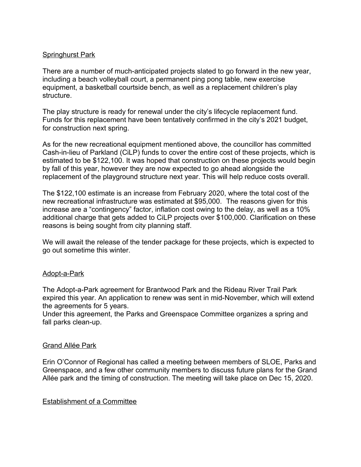# Springhurst Park

There are a number of much-anticipated projects slated to go forward in the new year, including a beach volleyball court, a permanent ping pong table, new exercise equipment, a basketball courtside bench, as well as a replacement children's play structure.

The play structure is ready for renewal under the city's lifecycle replacement fund. Funds for this replacement have been tentatively confirmed in the city's 2021 budget, for construction next spring.

As for the new recreational equipment mentioned above, the councillor has committed Cash-in-lieu of Parkland (CiLP) funds to cover the entire cost of these projects, which is estimated to be \$122,100. It was hoped that construction on these projects would begin by fall of this year, however they are now expected to go ahead alongside the replacement of the playground structure next year. This will help reduce costs overall.

The \$122,100 estimate is an increase from February 2020, where the total cost of the new recreational infrastructure was estimated at \$95,000. The reasons given for this increase are a "contingency" factor, inflation cost owing to the delay, as well as a 10% additional charge that gets added to CiLP projects over \$100,000. Clarification on these reasons is being sought from city planning staff.

We will await the release of the tender package for these projects, which is expected to go out sometime this winter.

# Adopt-a-Park

The Adopt-a-Park agreement for Brantwood Park and the Rideau River Trail Park expired this year. An application to renew was sent in mid-November, which will extend the agreements for 5 years.

Under this agreement, the Parks and Greenspace Committee organizes a spring and fall parks clean-up.

# Grand Allée Park

Erin O'Connor of Regional has called a meeting between members of SLOE, Parks and Greenspace, and a few other community members to discuss future plans for the Grand Allée park and the timing of construction. The meeting will take place on Dec 15, 2020.

# Establishment of a Committee